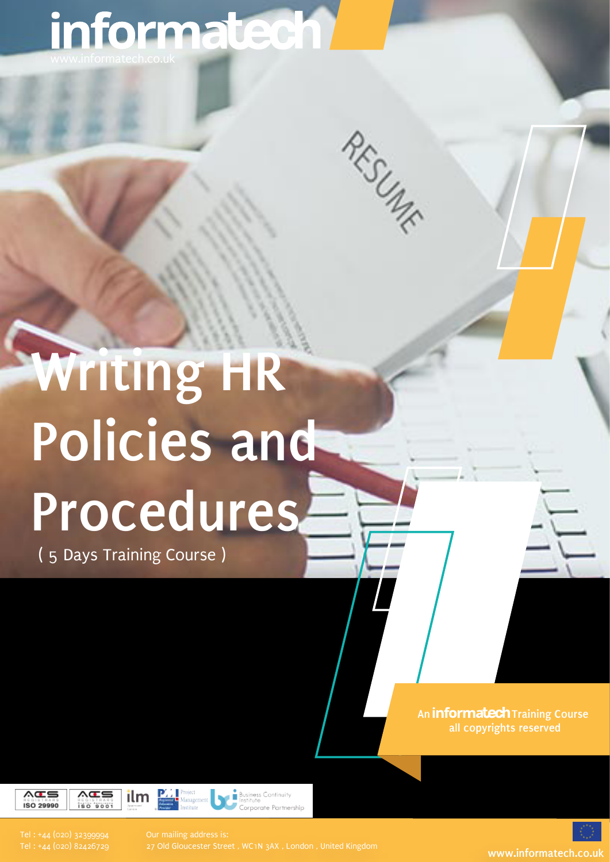# informatech!

RESURF

# **Writing HR Policies and Procedures**

( 5 Days Training Course )

**An informatech Training Course all copyrights reserved**



27 Old Gloucester Street , WC1N 3AX , London , United Kingdom **www.informatech.co.uk**

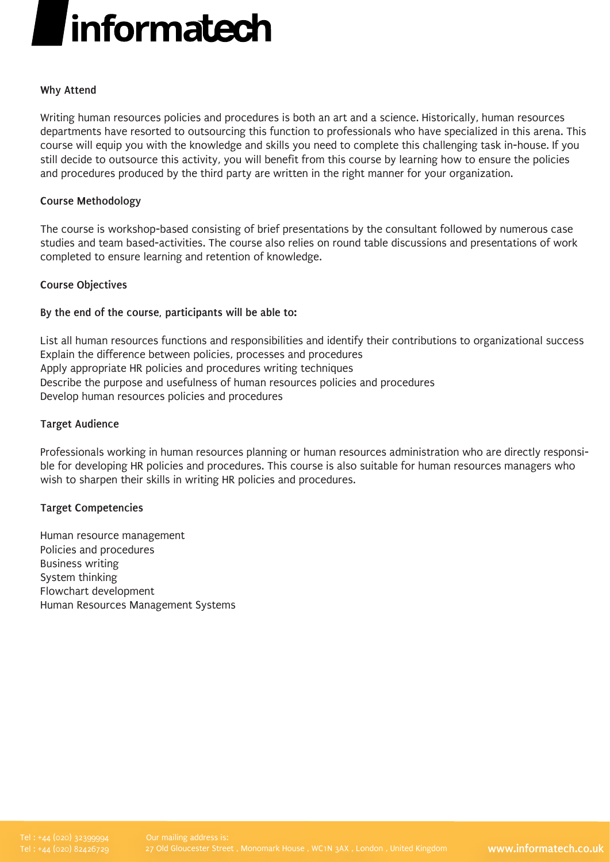# *informatech*

# **Why Attend**

Writing human resources policies and procedures is both an art and a science. Historically, human resources departments have resorted to outsourcing this function to professionals who have specialized in this arena. This course will equip you with the knowledge and skills you need to complete this challenging task in-house. If you still decide to outsource this activity, you will benefit from this course by learning how to ensure the policies and procedures produced by the third party are written in the right manner for your organization.

### **Course Methodology**

The course is workshop-based consisting of brief presentations by the consultant followed by numerous case studies and team based-activities. The course also relies on round table discussions and presentations of work completed to ensure learning and retention of knowledge.

### **Course Objectives**

# **By the end of the course, participants will be able to:**

List all human resources functions and responsibilities and identify their contributions to organizational success Explain the difference between policies, processes and procedures Apply appropriate HR policies and procedures writing techniques Describe the purpose and usefulness of human resources policies and procedures Develop human resources policies and procedures

### **Target Audience**

Professionals working in human resources planning or human resources administration who are directly responsible for developing HR policies and procedures. This course is also suitable for human resources managers who wish to sharpen their skills in writing HR policies and procedures.

# **Target Competencies**

Human resource management Policies and procedures Business writing System thinking Flowchart development Human Resources Management Systems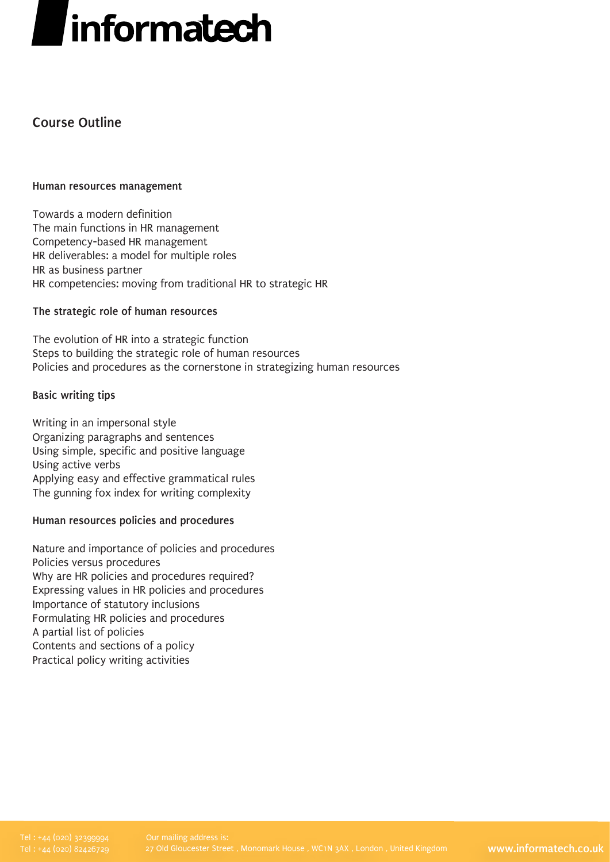# *informatech*

# **Course Outline**

### **Human resources management**

Towards a modern definition The main functions in HR management Competency-based HR management HR deliverables: a model for multiple roles HR as business partner HR competencies: moving from traditional HR to strategic HR

# **The strategic role of human resources**

The evolution of HR into a strategic function Steps to building the strategic role of human resources Policies and procedures as the cornerstone in strategizing human resources

### **Basic writing tips**

Writing in an impersonal style Organizing paragraphs and sentences Using simple, specific and positive language Using active verbs Applying easy and effective grammatical rules The gunning fox index for writing complexity

# **Human resources policies and procedures**

Nature and importance of policies and procedures Policies versus procedures Why are HR policies and procedures required? Expressing values in HR policies and procedures Importance of statutory inclusions Formulating HR policies and procedures A partial list of policies Contents and sections of a policy Practical policy writing activities